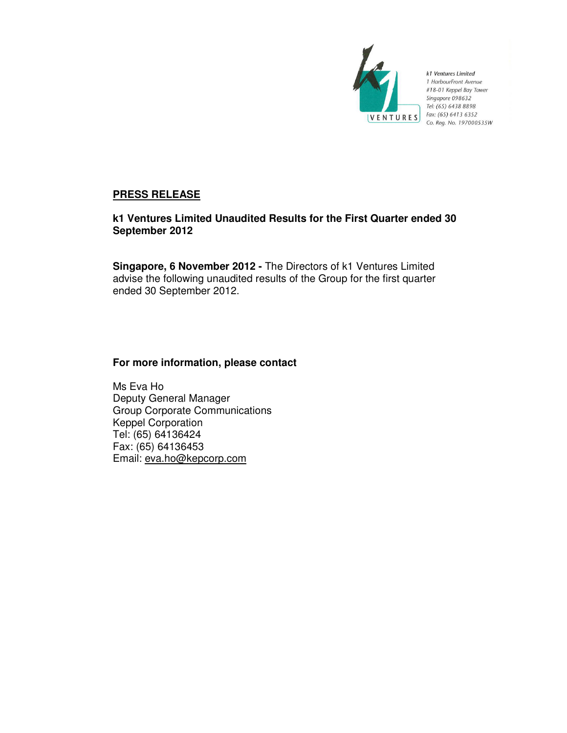

k1 Ventures Limited 1 HarbourFront Avenue #18-01 Keppel Bay Tower Singapore 098632 Tel: (65) 6438 8898 Fax: (65) 6413 6352 Co. Reg. No. 197000535W

# **PRESS RELEASE**

# **k1 Ventures Limited Unaudited Results for the First Quarter ended 30 September 2012**

**Singapore, 6 November 2012 -** The Directors of k1 Ventures Limited advise the following unaudited results of the Group for the first quarter ended 30 September 2012.

# **For more information, please contact**

Ms Eva Ho Deputy General Manager Group Corporate Communications Keppel Corporation Tel: (65) 64136424 Fax: (65) 64136453 Email: eva.ho@kepcorp.com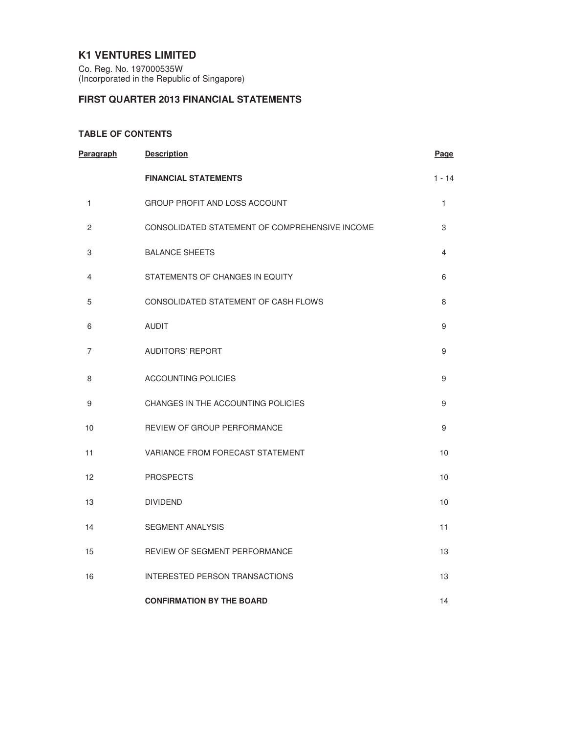# **K1 VENTURES LIMITED**

Co. Reg. No. 197000535W (Incorporated in the Republic of Singapore)

# **FIRST QUARTER 2013 FINANCIAL STATEMENTS**

### **TABLE OF CONTENTS**

| <b>Paragraph</b> | <b>Description</b>                             | Page           |
|------------------|------------------------------------------------|----------------|
|                  | <b>FINANCIAL STATEMENTS</b>                    | $1 - 14$       |
| 1                | <b>GROUP PROFIT AND LOSS ACCOUNT</b>           | 1              |
| $\overline{2}$   | CONSOLIDATED STATEMENT OF COMPREHENSIVE INCOME | 3              |
| 3                | <b>BALANCE SHEETS</b>                          | $\overline{4}$ |
| 4                | STATEMENTS OF CHANGES IN EQUITY                | 6              |
| 5                | CONSOLIDATED STATEMENT OF CASH FLOWS           | 8              |
| 6                | <b>AUDIT</b>                                   | 9              |
| 7                | <b>AUDITORS' REPORT</b>                        | 9              |
| 8                | <b>ACCOUNTING POLICIES</b>                     | 9              |
| 9                | CHANGES IN THE ACCOUNTING POLICIES             | 9              |
| 10               | REVIEW OF GROUP PERFORMANCE                    | 9              |
| 11               | VARIANCE FROM FORECAST STATEMENT               | 10             |
| 12               | <b>PROSPECTS</b>                               | 10             |
| 13               | <b>DIVIDEND</b>                                | 10             |
| 14               | <b>SEGMENT ANALYSIS</b>                        | 11             |
| 15               | REVIEW OF SEGMENT PERFORMANCE                  | 13             |
| 16               | <b>INTERESTED PERSON TRANSACTIONS</b>          | 13             |
|                  | <b>CONFIRMATION BY THE BOARD</b>               | 14             |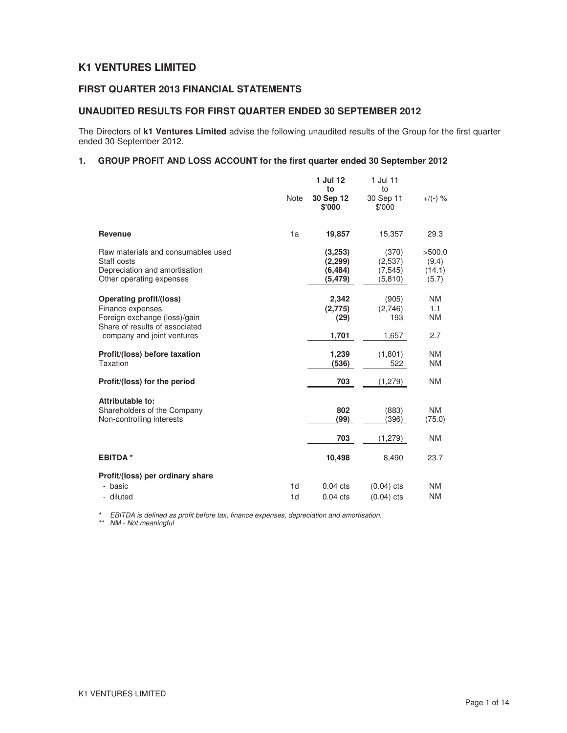# **K1 VENTURES LIMITED**

# **FIRST QUARTER 2013 FINANCIAL STATEMENTS**

### **UNAUDITED RESULTS FOR FIRST QUARTER ENDED 30 SEPTEMBER 2012**

The Directors of **k1 Ventures Limited** advise the following unaudited results of the Group for the first quarter ended 30 September 2012.

### **1. GROUP PROFIT AND LOSS ACCOUNT for the first quarter ended 30 September 2012**

|                                                                                                                | <b>Note</b>                      | 1 Jul 12<br>to<br>30 Sep 12<br>\$'000       | 1 Jul 11<br>to<br>30 Sep 11<br>\$'000    | $+$ /(-) %                         |
|----------------------------------------------------------------------------------------------------------------|----------------------------------|---------------------------------------------|------------------------------------------|------------------------------------|
| Revenue                                                                                                        | 1a                               | 19,857                                      | 15,357                                   | 29.3                               |
| Raw materials and consumables used<br>Staff costs<br>Depreciation and amortisation<br>Other operating expenses |                                  | (3,253)<br>(2, 299)<br>(6, 484)<br>(5, 479) | (370)<br>(2,537)<br>(7, 545)<br>(5, 810) | >500.0<br>(9.4)<br>(14.1)<br>(5.7) |
| Operating profit/(loss)<br>Finance expenses<br>Foreign exchange (loss)/gain                                    |                                  | 2,342<br>(2,775)<br>(29)                    | (905)<br>(2,746)<br>193                  | <b>NM</b><br>1.1<br><b>NM</b>      |
| Share of results of associated<br>company and joint ventures                                                   |                                  | 1,701                                       | 1,657                                    | 2.7                                |
| Profit/(loss) before taxation<br>Taxation                                                                      |                                  | 1,239<br>(536)                              | (1,801)<br>522                           | <b>NM</b><br><b>NM</b>             |
| Profit/(loss) for the period                                                                                   |                                  | 703                                         | (1,279)                                  | <b>NM</b>                          |
| Attributable to:<br>Shareholders of the Company<br>Non-controlling interests                                   |                                  | 802<br>(99)                                 | (883)<br>(396)                           | <b>NM</b><br>(75.0)                |
|                                                                                                                |                                  | 703                                         | (1,279)                                  | <b>NM</b>                          |
| <b>EBITDA*</b>                                                                                                 |                                  | 10,498                                      | 8,490                                    | 23.7                               |
| Profit/(loss) per ordinary share                                                                               |                                  |                                             |                                          |                                    |
| - basic<br>- diluted                                                                                           | 1 <sub>d</sub><br>1 <sub>d</sub> | $0.04$ cts<br>$0.04$ cts                    | $(0.04)$ cts<br>$(0.04)$ cts             | <b>NM</b><br><b>NM</b>             |

\* EBITDA is defined as profit before tax, finance expenses, depreciation and amortisation.

\*\* NM - Not meaningful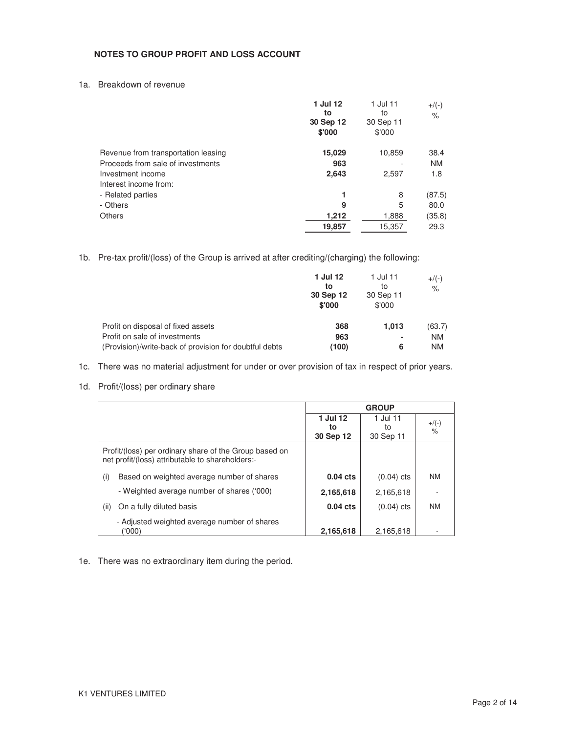### **NOTES TO GROUP PROFIT AND LOSS ACCOUNT**

1a. Breakdown of revenue

|                                     | 1 Jul 12<br>to<br>30 Sep 12<br>\$'000 | 1 Jul 11<br>to<br>30 Sep 11<br>\$'000 | $+$ /(-)<br>$\%$ |
|-------------------------------------|---------------------------------------|---------------------------------------|------------------|
| Revenue from transportation leasing | 15,029                                | 10,859                                | 38.4             |
| Proceeds from sale of investments   | 963                                   |                                       | <b>NM</b>        |
| Investment income                   | 2,643                                 | 2,597                                 | 1.8              |
| Interest income from:               |                                       |                                       |                  |
| - Related parties                   | 1                                     | 8                                     | (87.5)           |
| - Others                            | 9                                     | 5                                     | 80.0             |
| <b>Others</b>                       | 1,212                                 | 1,888                                 | (35.8)           |
|                                     | 19,857                                | 15,357                                | 29.3             |

1b. Pre-tax profit/(loss) of the Group is arrived at after crediting/(charging) the following:

|                                                        | 1 Jul 12<br>to<br>30 Sep 12<br>\$'000 | 1 Jul 11<br>to<br>30 Sep 11<br>\$'000 | $+$ /(-)<br>$\%$ |
|--------------------------------------------------------|---------------------------------------|---------------------------------------|------------------|
| Profit on disposal of fixed assets                     | 368                                   | 1.013                                 | (63.7)           |
| Profit on sale of investments                          | 963                                   | ۰                                     | <b>NM</b>        |
| (Provision)/write-back of provision for doubtful debts | (100)                                 | 6                                     | <b>NM</b>        |

- 1c. There was no material adjustment for under or over provision of tax in respect of prior years.
- 1d. Profit/(loss) per ordinary share

|                                                                                                            |            | <b>GROUP</b> |                    |
|------------------------------------------------------------------------------------------------------------|------------|--------------|--------------------|
|                                                                                                            | 1 Jul 12   | 1 Jul 11     | $+$ /(-)           |
|                                                                                                            | to         | to           | $\frac{1}{\alpha}$ |
|                                                                                                            | 30 Sep 12  | 30 Sep 11    |                    |
| Profit/(loss) per ordinary share of the Group based on<br>net profit/(loss) attributable to shareholders:- |            |              |                    |
| Based on weighted average number of shares<br>(i)                                                          | $0.04$ cts | $(0.04)$ cts | <b>NM</b>          |
| - Weighted average number of shares ('000)                                                                 | 2,165,618  | 2,165,618    |                    |
| On a fully diluted basis<br>(ii)                                                                           | $0.04$ cts | $(0.04)$ cts | <b>NM</b>          |
| - Adjusted weighted average number of shares<br>('000)                                                     | 2,165,618  | 2.165.618    |                    |

1e. There was no extraordinary item during the period.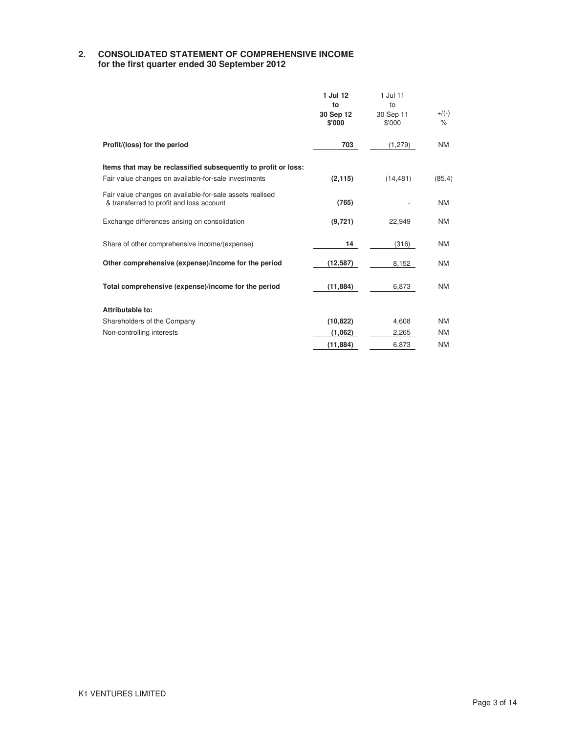### **2. CONSOLIDATED STATEMENT OF COMPREHENSIVE INCOME for the first quarter ended 30 September 2012**

|                                                                                                                        | 1 Jul 12<br>to<br>30 Sep 12<br>\$'000 | 1 Jul 11<br>to<br>30 Sep 11<br>\$'000 | $+/(-)$<br>$\frac{1}{\sqrt{2}}$ |
|------------------------------------------------------------------------------------------------------------------------|---------------------------------------|---------------------------------------|---------------------------------|
| Profit/(loss) for the period                                                                                           | 703                                   | (1, 279)                              | <b>NM</b>                       |
| Items that may be reclassified subsequently to profit or loss:<br>Fair value changes on available-for-sale investments | (2, 115)                              | (14, 481)                             | (85.4)                          |
| Fair value changes on available-for-sale assets realised<br>& transferred to profit and loss account                   | (765)                                 |                                       | <b>NM</b>                       |
| Exchange differences arising on consolidation                                                                          | (9,721)                               | 22.949                                | <b>NM</b>                       |
| Share of other comprehensive income/(expense)                                                                          | 14                                    | (316)                                 | <b>NM</b>                       |
| Other comprehensive (expense)/income for the period                                                                    | (12, 587)                             | 8,152                                 | <b>NM</b>                       |
| Total comprehensive (expense)/income for the period                                                                    | (11, 884)                             | 6,873                                 | <b>NM</b>                       |
| Attributable to:                                                                                                       |                                       |                                       |                                 |
| Shareholders of the Company                                                                                            | (10, 822)                             | 4,608                                 | <b>NM</b>                       |
| Non-controlling interests                                                                                              | (1,062)                               | 2,265                                 | <b>NM</b>                       |
|                                                                                                                        | (11, 884)                             | 6.873                                 | <b>NM</b>                       |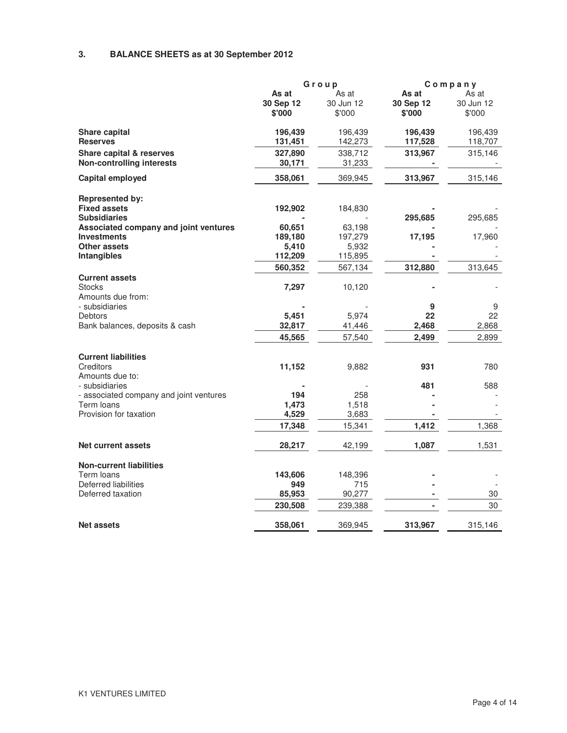# **3. BALANCE SHEETS as at 30 September 2012**

|                                         |           | Group     | Company   |           |
|-----------------------------------------|-----------|-----------|-----------|-----------|
|                                         | As at     | As at     | As at     | As at     |
|                                         | 30 Sep 12 | 30 Jun 12 | 30 Sep 12 | 30 Jun 12 |
|                                         | \$'000    | \$'000    | \$'000    | \$'000    |
| Share capital                           | 196,439   | 196,439   | 196,439   | 196,439   |
| <b>Reserves</b>                         | 131,451   | 142,273   | 117,528   | 118,707   |
| <b>Share capital &amp; reserves</b>     | 327,890   | 338,712   | 313,967   | 315,146   |
| <b>Non-controlling interests</b>        | 30,171    | 31,233    |           |           |
| Capital employed                        | 358,061   | 369,945   | 313,967   | 315,146   |
| <b>Represented by:</b>                  |           |           |           |           |
| <b>Fixed assets</b>                     | 192,902   | 184,830   |           |           |
| <b>Subsidiaries</b>                     |           |           | 295,685   | 295,685   |
| Associated company and joint ventures   | 60,651    | 63,198    |           |           |
| <b>Investments</b>                      | 189,180   | 197,279   | 17,195    | 17,960    |
| <b>Other assets</b>                     | 5,410     | 5,932     |           |           |
| <b>Intangibles</b>                      | 112,209   | 115,895   |           |           |
|                                         | 560,352   | 567,134   | 312,880   | 313,645   |
| <b>Current assets</b>                   |           |           |           |           |
| <b>Stocks</b>                           | 7,297     | 10,120    |           |           |
| Amounts due from:                       |           |           |           |           |
| - subsidiaries                          |           |           | 9         | 9         |
| Debtors                                 | 5,451     | 5,974     | 22        | 22        |
| Bank balances, deposits & cash          | 32,817    | 41,446    | 2,468     | 2,868     |
|                                         | 45,565    | 57,540    | 2,499     | 2,899     |
| <b>Current liabilities</b>              |           |           |           |           |
| Creditors                               | 11,152    | 9,882     | 931       | 780       |
| Amounts due to:                         |           |           |           |           |
| - subsidiaries                          |           |           | 481       | 588       |
| - associated company and joint ventures | 194       | 258       |           |           |
| Term loans                              | 1,473     | 1,518     |           |           |
| Provision for taxation                  | 4,529     | 3,683     |           |           |
|                                         | 17,348    | 15,341    | 1,412     | 1,368     |
| <b>Net current assets</b>               | 28,217    | 42,199    | 1,087     | 1,531     |
| <b>Non-current liabilities</b>          |           |           |           |           |
| Term loans                              | 143,606   | 148,396   |           |           |
| Deferred liabilities                    | 949       | 715       |           |           |
| Deferred taxation                       | 85,953    | 90,277    |           | 30        |
|                                         |           |           |           |           |
|                                         | 230,508   | 239,388   |           | 30        |
| <b>Net assets</b>                       | 358,061   | 369,945   | 313,967   | 315,146   |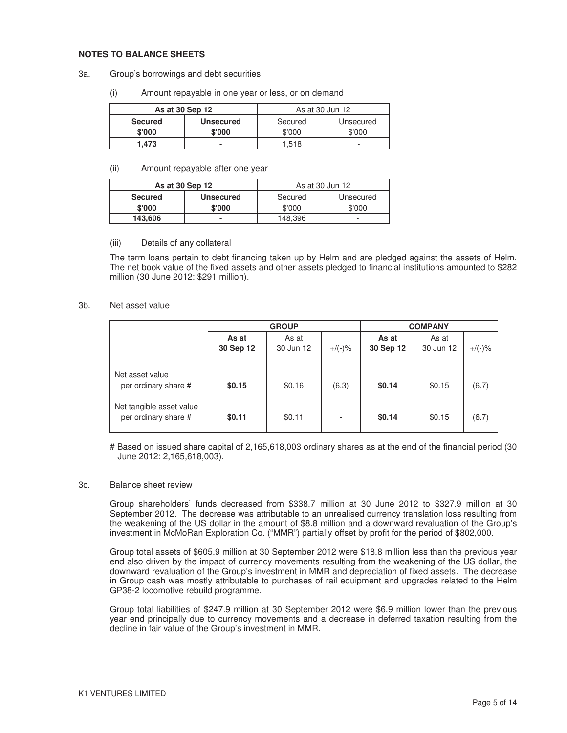#### **NOTES TO BALANCE SHEETS**

- 3a. Group's borrowings and debt securities
	- (i) Amount repayable in one year or less, or on demand

| As at 30 Sep 12 |                  | As at 30 Jun 12      |        |  |
|-----------------|------------------|----------------------|--------|--|
| <b>Secured</b>  | <b>Unsecured</b> | Secured<br>Unsecured |        |  |
| \$'000          | \$'000           | \$'000               | \$'000 |  |
| 1.473           | ۰                | 1.518                | -      |  |

#### (ii) Amount repayable after one year

| As at 30 Sep 12 |                  | As at 30 Jun 12      |        |  |
|-----------------|------------------|----------------------|--------|--|
| <b>Secured</b>  | <b>Unsecured</b> | Secured<br>Unsecured |        |  |
| \$'000          | \$'000           | \$'000               | \$'000 |  |
| 143.606         |                  | 148,396              | -      |  |

#### (iii) Details of any collateral

The term loans pertain to debt financing taken up by Helm and are pledged against the assets of Helm. The net book value of the fixed assets and other assets pledged to financial institutions amounted to \$282 million (30 June 2012: \$291 million).

#### 3b. Net asset value

|                                                  | <b>GROUP</b>   |           |           | <b>COMPANY</b> |           |           |
|--------------------------------------------------|----------------|-----------|-----------|----------------|-----------|-----------|
|                                                  | As at<br>As at |           |           | As at          | As at     |           |
|                                                  | 30 Sep 12      | 30 Jun 12 | $+/(-)$ % | 30 Sep 12      | 30 Jun 12 | $+/(-)$ % |
| Net asset value<br>per ordinary share #          | \$0.15         | \$0.16    | (6.3)     | \$0.14         | \$0.15    | (6.7)     |
| Net tangible asset value<br>per ordinary share # | \$0.11         | \$0.11    | ۰         | \$0.14         | \$0.15    | (6.7)     |

# Based on issued share capital of 2,165,618,003 ordinary shares as at the end of the financial period (30 June 2012: 2,165,618,003).

#### 3c. Balance sheet review

 Group shareholders' funds decreased from \$338.7 million at 30 June 2012 to \$327.9 million at 30 September 2012. The decrease was attributable to an unrealised currency translation loss resulting from the weakening of the US dollar in the amount of \$8.8 million and a downward revaluation of the Group's investment in McMoRan Exploration Co. ("MMR") partially offset by profit for the period of \$802,000.

Group total assets of \$605.9 million at 30 September 2012 were \$18.8 million less than the previous year end also driven by the impact of currency movements resulting from the weakening of the US dollar, the downward revaluation of the Group's investment in MMR and depreciation of fixed assets. The decrease in Group cash was mostly attributable to purchases of rail equipment and upgrades related to the Helm GP38-2 locomotive rebuild programme.

Group total liabilities of \$247.9 million at 30 September 2012 were \$6.9 million lower than the previous year end principally due to currency movements and a decrease in deferred taxation resulting from the decline in fair value of the Group's investment in MMR.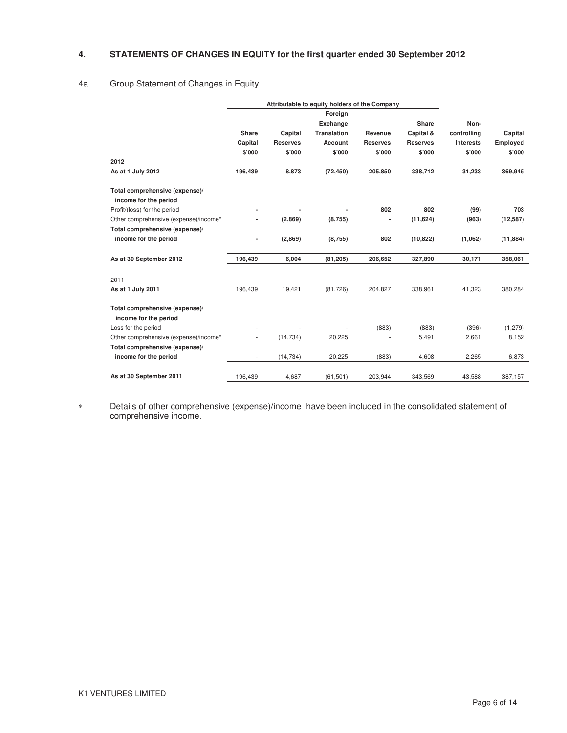### **4. STATEMENTS OF CHANGES IN EQUITY for the first quarter ended 30 September 2012**

### 4a. Group Statement of Changes in Equity

|                                       |         |                 | Attributable to equity holders of the Company |                 |                 |                  |           |
|---------------------------------------|---------|-----------------|-----------------------------------------------|-----------------|-----------------|------------------|-----------|
|                                       |         |                 | Foreign                                       |                 |                 |                  |           |
|                                       |         |                 | Exchange                                      |                 | <b>Share</b>    | Non-             |           |
|                                       | Share   | Capital         | <b>Translation</b>                            | Revenue         | Capital &       | controlling      | Capital   |
|                                       | Capital | <b>Reserves</b> | Account                                       | <b>Reserves</b> | <b>Reserves</b> | <b>Interests</b> | Employed  |
|                                       | \$'000  | \$'000          | \$'000                                        | \$'000          | \$'000          | \$'000           | \$'000    |
| 2012                                  |         |                 |                                               |                 |                 |                  |           |
| As at 1 July 2012                     | 196,439 | 8,873           | (72, 450)                                     | 205,850         | 338,712         | 31,233           | 369,945   |
| Total comprehensive (expense)/        |         |                 |                                               |                 |                 |                  |           |
| income for the period                 |         |                 |                                               |                 |                 |                  |           |
| Profit/(loss) for the period          |         |                 |                                               | 802             | 802             | (99)             | 703       |
| Other comprehensive (expense)/income* |         | (2,869)         | (8,755)                                       |                 | (11, 624)       | (963)            | (12, 587) |
| Total comprehensive (expense)/        |         |                 |                                               |                 |                 |                  |           |
| income for the period                 |         | (2,869)         | (8,755)                                       | 802             | (10, 822)       | (1,062)          | (11, 884) |
|                                       |         |                 |                                               |                 |                 |                  |           |
| As at 30 September 2012               | 196,439 | 6,004           | (81, 205)                                     | 206,652         | 327,890         | 30,171           | 358,061   |
| 2011                                  |         |                 |                                               |                 |                 |                  |           |
| As at 1 July 2011                     | 196,439 | 19,421          | (81,726)                                      | 204,827         | 338,961         | 41,323           | 380,284   |
| Total comprehensive (expense)/        |         |                 |                                               |                 |                 |                  |           |
| income for the period                 |         |                 |                                               |                 |                 |                  |           |
| Loss for the period                   |         |                 |                                               | (883)           | (883)           | (396)            | (1, 279)  |
| Other comprehensive (expense)/income* |         | (14, 734)       | 20,225                                        |                 | 5,491           | 2,661            | 8,152     |
| Total comprehensive (expense)/        |         |                 |                                               |                 |                 |                  |           |
| income for the period                 | ٠       | (14, 734)       | 20,225                                        | (883)           | 4,608           | 2,265            | 6,873     |
| As at 30 September 2011               | 196,439 | 4,687           | (61, 501)                                     | 203,944         | 343,569         | 43,588           | 387,157   |

∗ Details of other comprehensive (expense)/income have been included in the consolidated statement of comprehensive income.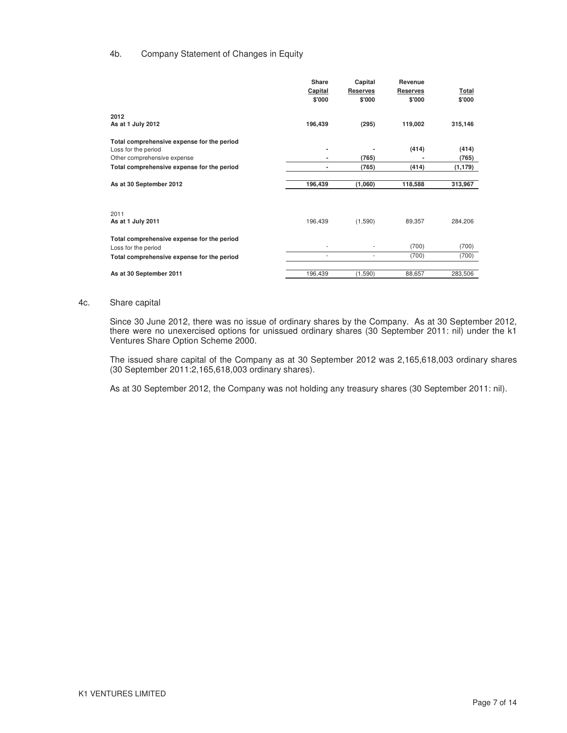### 4b. Company Statement of Changes in Equity

|                                            | <b>Share</b> | Capital         | Revenue         |          |
|--------------------------------------------|--------------|-----------------|-----------------|----------|
|                                            | Capital      | <b>Reserves</b> | <b>Reserves</b> | Total    |
|                                            | \$'000       | \$'000          | \$'000          | \$'000   |
| 2012                                       |              |                 |                 |          |
| As at 1 July 2012                          | 196,439      | (295)           | 119,002         | 315,146  |
| Total comprehensive expense for the period |              |                 |                 |          |
| Loss for the period                        | ٠            |                 | (414)           | (414)    |
| Other comprehensive expense                |              | (765)           |                 | (765)    |
| Total comprehensive expense for the period | ٠            | (765)           | (414)           | (1, 179) |
| As at 30 September 2012                    | 196,439      | (1,060)         | 118,588         | 313,967  |
|                                            |              |                 |                 |          |
| 2011                                       |              |                 |                 |          |
| As at 1 July 2011                          | 196,439      | (1,590)         | 89,357          | 284,206  |
| Total comprehensive expense for the period |              |                 |                 |          |
| Loss for the period                        |              |                 | (700)           | (700)    |
| Total comprehensive expense for the period | ٠            | ٠               | (700)           | (700)    |
| As at 30 September 2011                    | 196,439      | (1,590)         | 88,657          | 283,506  |

#### 4c. Share capital

Since 30 June 2012, there was no issue of ordinary shares by the Company. As at 30 September 2012, there were no unexercised options for unissued ordinary shares (30 September 2011: nil) under the k1 Ventures Share Option Scheme 2000.

The issued share capital of the Company as at 30 September 2012 was 2,165,618,003 ordinary shares (30 September 2011:2,165,618,003 ordinary shares).

As at 30 September 2012, the Company was not holding any treasury shares (30 September 2011: nil).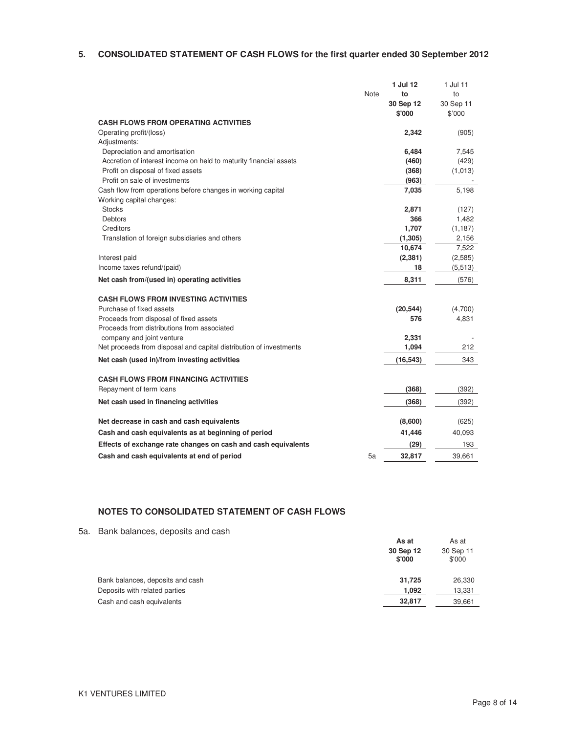### **5. CONSOLIDATED STATEMENT OF CASH FLOWS for the first quarter ended 30 September 2012**

|                                                                    |      | 1 Jul 12  | 1 Jul 11  |
|--------------------------------------------------------------------|------|-----------|-----------|
|                                                                    | Note | to        | to        |
|                                                                    |      | 30 Sep 12 | 30 Sep 11 |
|                                                                    |      | \$'000    | \$'000    |
| <b>CASH FLOWS FROM OPERATING ACTIVITIES</b>                        |      |           |           |
| Operating profit/(loss)                                            |      | 2,342     | (905)     |
| Adjustments:                                                       |      |           |           |
| Depreciation and amortisation                                      |      | 6,484     | 7,545     |
| Accretion of interest income on held to maturity financial assets  |      | (460)     | (429)     |
| Profit on disposal of fixed assets                                 |      | (368)     | (1,013)   |
| Profit on sale of investments                                      |      | (963)     |           |
| Cash flow from operations before changes in working capital        |      | 7,035     | 5,198     |
| Working capital changes:                                           |      |           |           |
| <b>Stocks</b>                                                      |      | 2,871     | (127)     |
| <b>Debtors</b>                                                     |      | 366       | 1,482     |
| Creditors                                                          |      | 1,707     | (1, 187)  |
| Translation of foreign subsidiaries and others                     |      | (1, 305)  | 2,156     |
|                                                                    |      | 10,674    | 7,522     |
| Interest paid                                                      |      | (2, 381)  | (2,585)   |
| Income taxes refund/(paid)                                         |      | 18        | (5,513)   |
| Net cash from/(used in) operating activities                       |      | 8,311     | (576)     |
| <b>CASH FLOWS FROM INVESTING ACTIVITIES</b>                        |      |           |           |
| Purchase of fixed assets                                           |      | (20, 544) | (4,700)   |
| Proceeds from disposal of fixed assets                             |      | 576       | 4,831     |
| Proceeds from distributions from associated                        |      |           |           |
| company and joint venture                                          |      | 2,331     |           |
| Net proceeds from disposal and capital distribution of investments |      | 1,094     | 212       |
| Net cash (used in)/from investing activities                       |      | (16, 543) | 343       |
| <b>CASH FLOWS FROM FINANCING ACTIVITIES</b>                        |      |           |           |
| Repayment of term loans                                            |      | (368)     | (392)     |
| Net cash used in financing activities                              |      | (368)     | (392)     |
| Net decrease in cash and cash equivalents                          |      | (8,600)   | (625)     |
| Cash and cash equivalents as at beginning of period                |      | 41,446    | 40,093    |
| Effects of exchange rate changes on cash and cash equivalents      |      | (29)      | 193       |
| Cash and cash equivalents at end of period                         | 5a   | 32,817    | 39,661    |
|                                                                    |      |           |           |

### **NOTES TO CONSOLIDATED STATEMENT OF CASH FLOWS**

5a. Bank balances, deposits and cash

|                                  | As at               | As at               |
|----------------------------------|---------------------|---------------------|
|                                  | 30 Sep 12<br>\$'000 | 30 Sep 11<br>\$'000 |
| Bank balances, deposits and cash | 31.725              | 26,330              |
| Deposits with related parties    | 1.092               | 13,331              |
| Cash and cash equivalents        | 32,817              | 39,661              |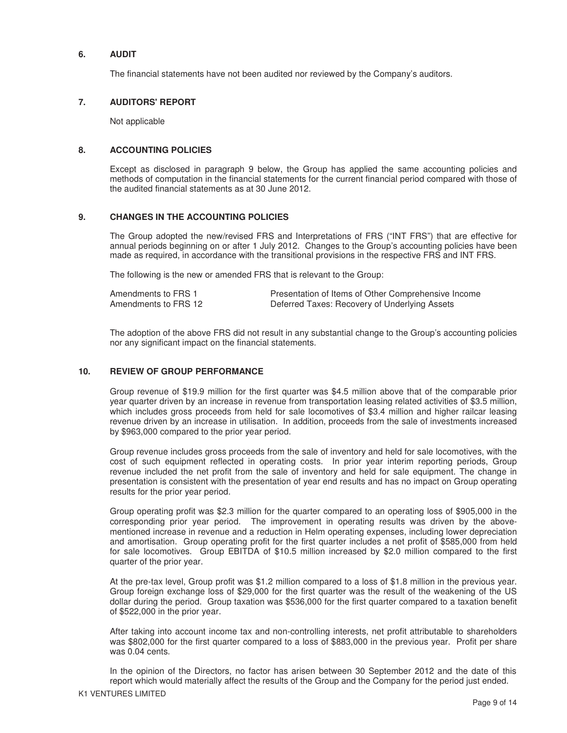#### **6. AUDIT**

The financial statements have not been audited nor reviewed by the Company's auditors.

### **7. AUDITORS' REPORT**

Not applicable

### **8. ACCOUNTING POLICIES**

Except as disclosed in paragraph 9 below, the Group has applied the same accounting policies and methods of computation in the financial statements for the current financial period compared with those of the audited financial statements as at 30 June 2012.

### **9. CHANGES IN THE ACCOUNTING POLICIES**

The Group adopted the new/revised FRS and Interpretations of FRS ("INT FRS") that are effective for annual periods beginning on or after 1 July 2012. Changes to the Group's accounting policies have been made as required, in accordance with the transitional provisions in the respective FRS and INT FRS.

The following is the new or amended FRS that is relevant to the Group:

| Amendments to FRS 1  | Presentation of Items of Other Comprehensive Income |
|----------------------|-----------------------------------------------------|
| Amendments to FRS 12 | Deferred Taxes: Recovery of Underlying Assets       |

The adoption of the above FRS did not result in any substantial change to the Group's accounting policies nor any significant impact on the financial statements.

#### **10. REVIEW OF GROUP PERFORMANCE**

Group revenue of \$19.9 million for the first quarter was \$4.5 million above that of the comparable prior year quarter driven by an increase in revenue from transportation leasing related activities of \$3.5 million, which includes gross proceeds from held for sale locomotives of \$3.4 million and higher railcar leasing revenue driven by an increase in utilisation. In addition, proceeds from the sale of investments increased by \$963,000 compared to the prior year period.

Group revenue includes gross proceeds from the sale of inventory and held for sale locomotives, with the cost of such equipment reflected in operating costs. In prior year interim reporting periods, Group revenue included the net profit from the sale of inventory and held for sale equipment. The change in presentation is consistent with the presentation of year end results and has no impact on Group operating results for the prior year period.

Group operating profit was \$2.3 million for the quarter compared to an operating loss of \$905,000 in the corresponding prior year period. The improvement in operating results was driven by the abovementioned increase in revenue and a reduction in Helm operating expenses, including lower depreciation and amortisation. Group operating profit for the first quarter includes a net profit of \$585,000 from held for sale locomotives. Group EBITDA of \$10.5 million increased by \$2.0 million compared to the first quarter of the prior year.

At the pre-tax level, Group profit was \$1.2 million compared to a loss of \$1.8 million in the previous year. Group foreign exchange loss of \$29,000 for the first quarter was the result of the weakening of the US dollar during the period. Group taxation was \$536,000 for the first quarter compared to a taxation benefit of \$522,000 in the prior year.

After taking into account income tax and non-controlling interests, net profit attributable to shareholders was \$802,000 for the first quarter compared to a loss of \$883,000 in the previous year. Profit per share was 0.04 cents.

In the opinion of the Directors, no factor has arisen between 30 September 2012 and the date of this report which would materially affect the results of the Group and the Company for the period just ended.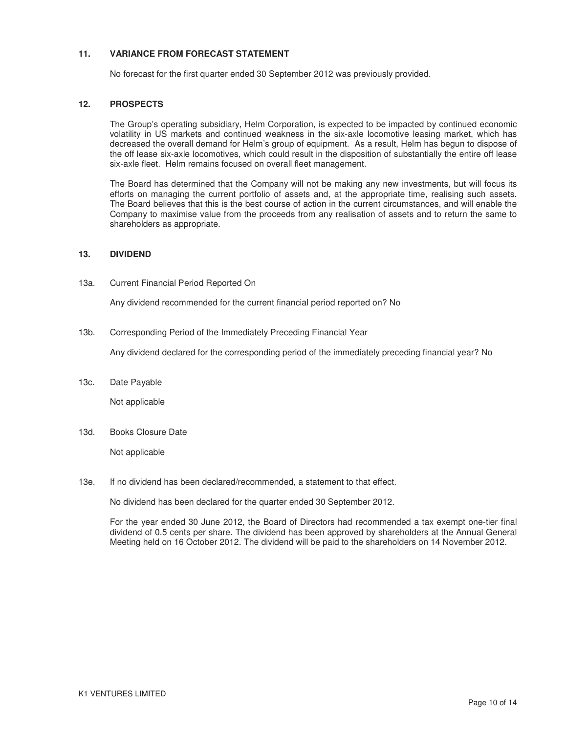### **11. VARIANCE FROM FORECAST STATEMENT**

No forecast for the first quarter ended 30 September 2012 was previously provided.

### **12. PROSPECTS**

The Group's operating subsidiary, Helm Corporation, is expected to be impacted by continued economic volatility in US markets and continued weakness in the six-axle locomotive leasing market, which has decreased the overall demand for Helm's group of equipment. As a result, Helm has begun to dispose of the off lease six-axle locomotives, which could result in the disposition of substantially the entire off lease six-axle fleet. Helm remains focused on overall fleet management.

The Board has determined that the Company will not be making any new investments, but will focus its efforts on managing the current portfolio of assets and, at the appropriate time, realising such assets. The Board believes that this is the best course of action in the current circumstances, and will enable the Company to maximise value from the proceeds from any realisation of assets and to return the same to shareholders as appropriate.

#### **13. DIVIDEND**

13a. Current Financial Period Reported On

Any dividend recommended for the current financial period reported on? No

13b. Corresponding Period of the Immediately Preceding Financial Year

Any dividend declared for the corresponding period of the immediately preceding financial year? No

13c. Date Payable

Not applicable

13d. Books Closure Date

Not applicable

13e. If no dividend has been declared/recommended, a statement to that effect.

No dividend has been declared for the quarter ended 30 September 2012.

For the year ended 30 June 2012, the Board of Directors had recommended a tax exempt one-tier final dividend of 0.5 cents per share. The dividend has been approved by shareholders at the Annual General Meeting held on 16 October 2012. The dividend will be paid to the shareholders on 14 November 2012.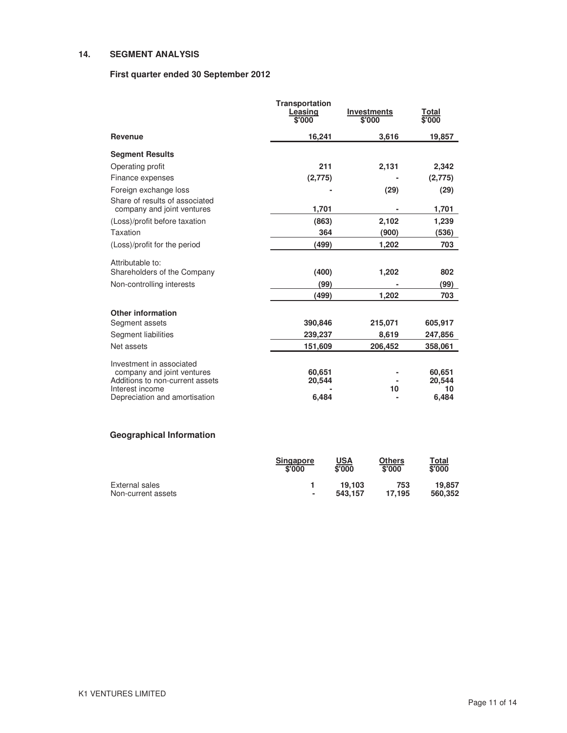### **14. SEGMENT ANALYSIS**

### **First quarter ended 30 September 2012**

|                                                              | <b>Transportation</b><br>Leasing<br>\$'000 | <b>Investments</b><br>\$'000 | Total<br>\$'000 |
|--------------------------------------------------------------|--------------------------------------------|------------------------------|-----------------|
| Revenue                                                      | 16,241                                     | 3,616                        | 19,857          |
| <b>Segment Results</b>                                       |                                            |                              |                 |
| Operating profit                                             | 211                                        | 2,131                        | 2,342           |
| Finance expenses                                             | (2,775)                                    |                              | (2,775)         |
| Foreign exchange loss                                        |                                            | (29)                         | (29)            |
| Share of results of associated<br>company and joint ventures | 1,701                                      |                              | 1,701           |
| (Loss)/profit before taxation                                | (863)                                      | 2,102                        | 1,239           |
| Taxation                                                     | 364                                        | (900)                        | (536)           |
| (Loss)/profit for the period                                 | (499)                                      | 1,202                        | 703             |
| Attributable to:                                             |                                            |                              |                 |
| Shareholders of the Company                                  | (400)                                      | 1,202                        | 802             |
| Non-controlling interests                                    | (99)                                       |                              | (99)            |
|                                                              | (499)                                      | 1,202                        | 703             |
| <b>Other information</b>                                     |                                            |                              |                 |
| Segment assets                                               | 390,846                                    | 215,071                      | 605,917         |
| Segment liabilities                                          | 239,237                                    | 8,619                        | 247,856         |
| Net assets                                                   | 151,609                                    | 206,452                      | 358,061         |
| Investment in associated                                     |                                            |                              |                 |
| company and joint ventures                                   | 60,651                                     |                              | 60,651          |
| Additions to non-current assets<br>Interest income           | 20,544                                     | 10                           | 20,544<br>10    |
| Depreciation and amortisation                                | 6,484                                      |                              | 6,484           |

# **Geographical Information**

|                    | <b>Singapore</b><br>\$'000 | USA<br>\$'000 | Others<br>\$'000 | Total<br>\$'000 |
|--------------------|----------------------------|---------------|------------------|-----------------|
| External sales     |                            | 19.103        | 753              | 19,857          |
| Non-current assets | ۰                          | 543.157       | 17.195           | 560.352         |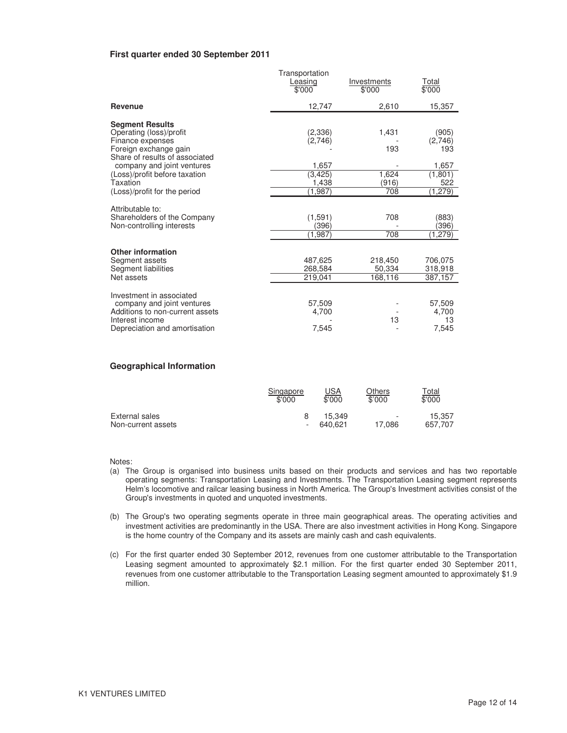#### **First quarter ended 30 September 2011**

|                                                                                                                                                                                                                                             | Transportation<br>Leasing<br>\$'000                         | Investments<br>\$'000                 | Total<br>\$'000                                                |
|---------------------------------------------------------------------------------------------------------------------------------------------------------------------------------------------------------------------------------------------|-------------------------------------------------------------|---------------------------------------|----------------------------------------------------------------|
| <b>Revenue</b>                                                                                                                                                                                                                              | 12,747                                                      | 2,610                                 | 15,357                                                         |
| <b>Segment Results</b><br>Operating (loss)/profit<br>Finance expenses<br>Foreign exchange gain<br>Share of results of associated<br>company and joint ventures<br>(Loss)/profit before taxation<br>Taxation<br>(Loss)/profit for the period | (2,336)<br>(2,746)<br>1,657<br>(3, 425)<br>1,438<br>(1,987) | 1,431<br>193<br>1,624<br>(916)<br>708 | (905)<br>(2,746)<br>193<br>1,657<br>(1, 801)<br>522<br>(1,279) |
| Attributable to:<br>Shareholders of the Company<br>Non-controlling interests                                                                                                                                                                | (1,591)<br>(396)<br>(1,987)                                 | 708<br>708                            | (883)<br>(396)<br>(1,279)                                      |
| <b>Other information</b><br>Segment assets<br>Segment liabilities<br>Net assets                                                                                                                                                             | 487,625<br>268,584<br>219,041                               | 218,450<br>50,334<br>168,116          | 706,075<br>318,918<br>387,157                                  |
| Investment in associated<br>company and joint ventures<br>Additions to non-current assets<br>Interest income<br>Depreciation and amortisation                                                                                               | 57.509<br>4,700<br>7,545                                    | 13                                    | 57,509<br>4,700<br>13<br>7,545                                 |

#### **Geographical Information**

|                    | Singapore | <u>USA</u> | Others | <u>Total</u> |
|--------------------|-----------|------------|--------|--------------|
|                    | \$'000    | \$'000     | \$'000 | \$'000       |
| External sales     |           | 15.349     | ٠      | 15.357       |
| Non-current assets |           | 640.621    | 17.086 | 657,707      |

Notes:

- (a) The Group is organised into business units based on their products and services and has two reportable operating segments: Transportation Leasing and Investments. The Transportation Leasing segment represents Helm's locomotive and railcar leasing business in North America. The Group's Investment activities consist of the Group's investments in quoted and unquoted investments.
- (b) The Group's two operating segments operate in three main geographical areas. The operating activities and investment activities are predominantly in the USA. There are also investment activities in Hong Kong. Singapore is the home country of the Company and its assets are mainly cash and cash equivalents.
- (c) For the first quarter ended 30 September 2012, revenues from one customer attributable to the Transportation Leasing segment amounted to approximately \$2.1 million. For the first quarter ended 30 September 2011, revenues from one customer attributable to the Transportation Leasing segment amounted to approximately \$1.9 million.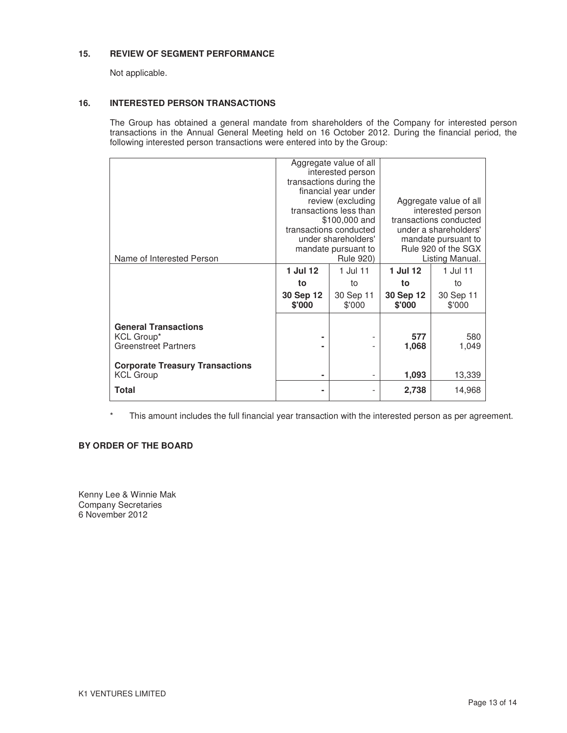### **15. REVIEW OF SEGMENT PERFORMANCE**

Not applicable.

## **16. INTERESTED PERSON TRANSACTIONS**

The Group has obtained a general mandate from shareholders of the Company for interested person transactions in the Annual General Meeting held on 16 October 2012. During the financial period, the following interested person transactions were entered into by the Group:

|                                        |           | Aggregate value of all  |                                                                        |                   |  |
|----------------------------------------|-----------|-------------------------|------------------------------------------------------------------------|-------------------|--|
|                                        |           | interested person       |                                                                        |                   |  |
|                                        |           | transactions during the |                                                                        |                   |  |
|                                        |           | financial year under    |                                                                        |                   |  |
|                                        |           | review (excluding       | Aggregate value of all                                                 |                   |  |
|                                        |           | transactions less than  |                                                                        | interested person |  |
|                                        |           | \$100,000 and           | transactions conducted<br>under a shareholders'<br>mandate pursuant to |                   |  |
|                                        |           | transactions conducted  |                                                                        |                   |  |
|                                        |           | under shareholders'     |                                                                        |                   |  |
|                                        |           | mandate pursuant to     | Rule 920 of the SGX                                                    |                   |  |
| Name of Interested Person              |           | <b>Rule 920)</b>        | Listing Manual.                                                        |                   |  |
|                                        | 1 Jul 12  | 1 Jul 11                | 1 Jul 12                                                               | 1 Jul 11          |  |
|                                        | to        | to                      | to                                                                     | to                |  |
|                                        | 30 Sep 12 | 30 Sep 11               | 30 Sep 12                                                              | 30 Sep 11         |  |
|                                        | \$'000    | \$'000                  | \$'000                                                                 | \$'000            |  |
|                                        |           |                         |                                                                        |                   |  |
| <b>General Transactions</b>            |           |                         |                                                                        |                   |  |
| KCL Group*                             |           |                         | 577                                                                    | 580               |  |
| <b>Greenstreet Partners</b>            |           |                         | 1,068                                                                  | 1,049             |  |
|                                        |           |                         |                                                                        |                   |  |
| <b>Corporate Treasury Transactions</b> |           |                         |                                                                        |                   |  |
| <b>KCL Group</b>                       | ٠         |                         | 1,093                                                                  | 13,339            |  |
| <b>Total</b>                           | ٠         |                         | 2,738                                                                  | 14,968            |  |
|                                        |           |                         |                                                                        |                   |  |

\* This amount includes the full financial year transaction with the interested person as per agreement.

## **BY ORDER OF THE BOARD**

Kenny Lee & Winnie Mak Company Secretaries 6 November 2012